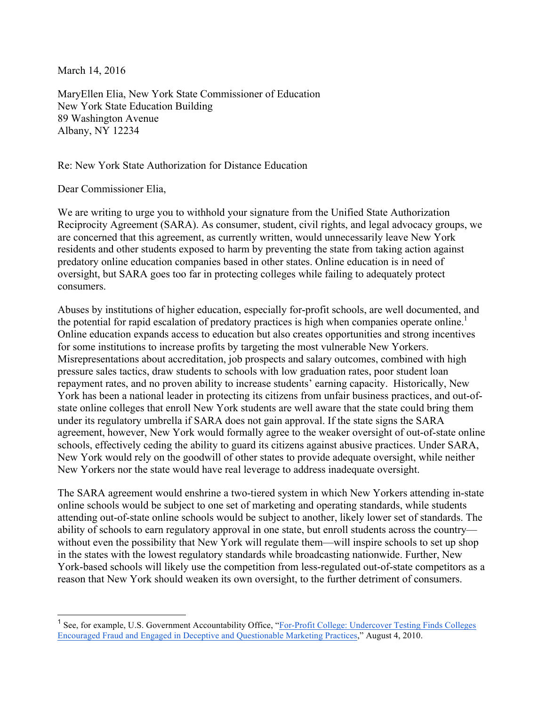March 14, 2016

MaryEllen Elia, New York State Commissioner of Education New York State Education Building 89 Washington Avenue Albany, NY 12234

Re: New York State Authorization for Distance Education

Dear Commissioner Elia,

We are writing to urge you to withhold your signature from the Unified State Authorization Reciprocity Agreement (SARA). As consumer, student, civil rights, and legal advocacy groups, we are concerned that this agreement, as currently written, would unnecessarily leave New York residents and other students exposed to harm by preventing the state from taking action against predatory online education companies based in other states. Online education is in need of oversight, but SARA goes too far in protecting colleges while failing to adequately protect consumers.

Abuses by institutions of higher education, especially for-profit schools, are well documented, and the potential for rapid escalation of predatory practices is high when companies operate online.<sup>1</sup> Online education expands access to education but also creates opportunities and strong incentives for some institutions to increase profits by targeting the most vulnerable New Yorkers. Misrepresentations about accreditation, job prospects and salary outcomes, combined with high pressure sales tactics, draw students to schools with low graduation rates, poor student loan repayment rates, and no proven ability to increase students' earning capacity. Historically, New York has been a national leader in protecting its citizens from unfair business practices, and out-ofstate online colleges that enroll New York students are well aware that the state could bring them under its regulatory umbrella if SARA does not gain approval. If the state signs the SARA agreement, however, New York would formally agree to the weaker oversight of out-of-state online schools, effectively ceding the ability to guard its citizens against abusive practices. Under SARA, New York would rely on the goodwill of other states to provide adequate oversight, while neither New Yorkers nor the state would have real leverage to address inadequate oversight.

The SARA agreement would enshrine a two-tiered system in which New Yorkers attending in-state online schools would be subject to one set of marketing and operating standards, while students attending out-of-state online schools would be subject to another, likely lower set of standards. The ability of schools to earn regulatory approval in one state, but enroll students across the country without even the possibility that New York will regulate them—will inspire schools to set up shop in the states with the lowest regulatory standards while broadcasting nationwide. Further, New York-based schools will likely use the competition from less-regulated out-of-state competitors as a reason that New York should weaken its own oversight, to the further detriment of consumers.

<sup>&</sup>lt;sup>1</sup> See, for example, U.S. Government Accountability Office, "For-Profit College: Undercover Testing Finds Colleges Encouraged Fraud and Engaged in Deceptive and Questionable Marketing Practices," August 4, 2010.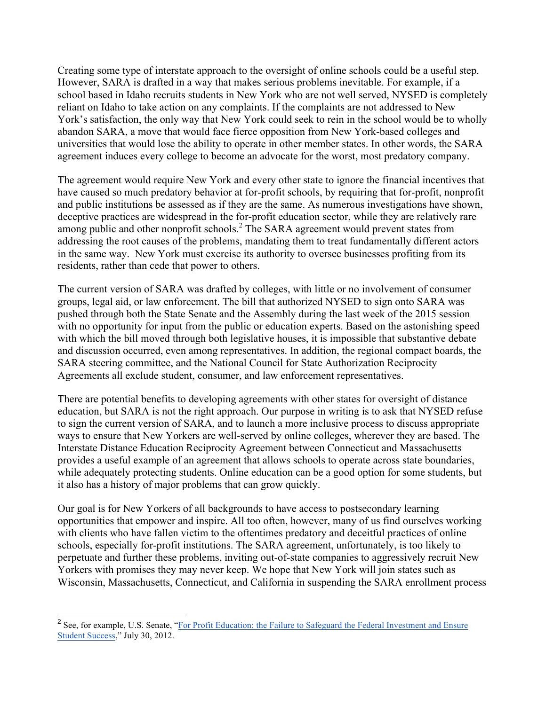Creating some type of interstate approach to the oversight of online schools could be a useful step. However, SARA is drafted in a way that makes serious problems inevitable. For example, if a school based in Idaho recruits students in New York who are not well served, NYSED is completely reliant on Idaho to take action on any complaints. If the complaints are not addressed to New York's satisfaction, the only way that New York could seek to rein in the school would be to wholly abandon SARA, a move that would face fierce opposition from New York-based colleges and universities that would lose the ability to operate in other member states. In other words, the SARA agreement induces every college to become an advocate for the worst, most predatory company.

The agreement would require New York and every other state to ignore the financial incentives that have caused so much predatory behavior at for-profit schools, by requiring that for-profit, nonprofit and public institutions be assessed as if they are the same. As numerous investigations have shown, deceptive practices are widespread in the for-profit education sector, while they are relatively rare among public and other nonprofit schools.<sup>2</sup> The SARA agreement would prevent states from addressing the root causes of the problems, mandating them to treat fundamentally different actors in the same way. New York must exercise its authority to oversee businesses profiting from its residents, rather than cede that power to others.

The current version of SARA was drafted by colleges, with little or no involvement of consumer groups, legal aid, or law enforcement. The bill that authorized NYSED to sign onto SARA was pushed through both the State Senate and the Assembly during the last week of the 2015 session with no opportunity for input from the public or education experts. Based on the astonishing speed with which the bill moved through both legislative houses, it is impossible that substantive debate and discussion occurred, even among representatives. In addition, the regional compact boards, the SARA steering committee, and the National Council for State Authorization Reciprocity Agreements all exclude student, consumer, and law enforcement representatives.

There are potential benefits to developing agreements with other states for oversight of distance education, but SARA is not the right approach. Our purpose in writing is to ask that NYSED refuse to sign the current version of SARA, and to launch a more inclusive process to discuss appropriate ways to ensure that New Yorkers are well-served by online colleges, wherever they are based. The Interstate Distance Education Reciprocity Agreement between Connecticut and Massachusetts provides a useful example of an agreement that allows schools to operate across state boundaries, while adequately protecting students. Online education can be a good option for some students, but it also has a history of major problems that can grow quickly.

Our goal is for New Yorkers of all backgrounds to have access to postsecondary learning opportunities that empower and inspire. All too often, however, many of us find ourselves working with clients who have fallen victim to the oftentimes predatory and deceitful practices of online schools, especially for-profit institutions. The SARA agreement, unfortunately, is too likely to perpetuate and further these problems, inviting out-of-state companies to aggressively recruit New Yorkers with promises they may never keep. We hope that New York will join states such as Wisconsin, Massachusetts, Connecticut, and California in suspending the SARA enrollment process

<sup>&</sup>lt;sup>2</sup> See, for example, U.S. Senate, "For Profit Education: the Failure to Safeguard the Federal Investment and Ensure Student Success," July 30, 2012.